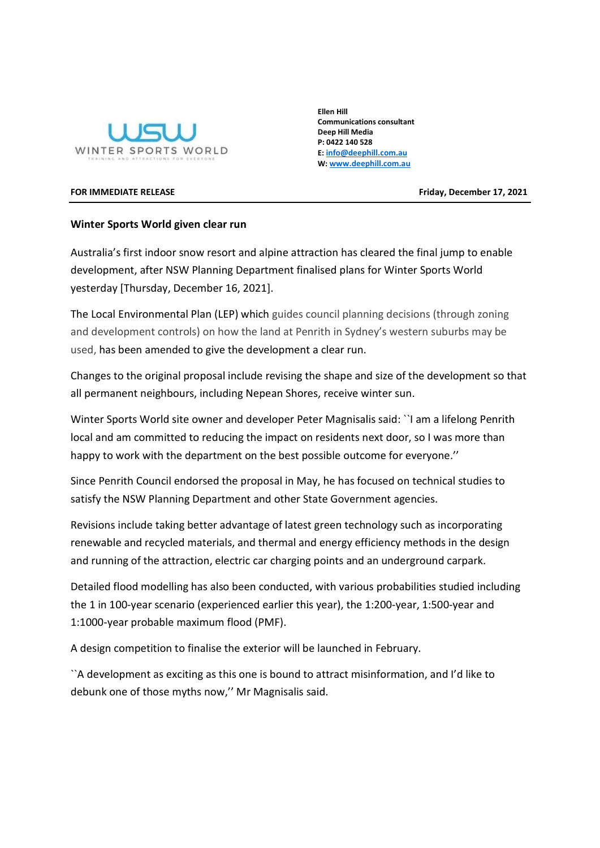

Ellen Hill Communications consultant Deep Hill Media P: 0422 140 528 E: info@deephill.com.au W: www.deephill.com.au

FOR IMMEDIATE RELEASE **FRIDALISH CONSUMING THE SET OF STATE ASSAULT** FRIDAY, December 17, 2021

## Winter Sports World given clear run

Australia's first indoor snow resort and alpine attraction has cleared the final jump to enable development, after NSW Planning Department finalised plans for Winter Sports World yesterday [Thursday, December 16, 2021].

The Local Environmental Plan (LEP) which guides council planning decisions (through zoning and development controls) on how the land at Penrith in Sydney's western suburbs may be used, has been amended to give the development a clear run.

Changes to the original proposal include revising the shape and size of the development so that all permanent neighbours, including Nepean Shores, receive winter sun.

Winter Sports World site owner and developer Peter Magnisalis said: ``I am a lifelong Penrith local and am committed to reducing the impact on residents next door, so I was more than happy to work with the department on the best possible outcome for everyone.''

Since Penrith Council endorsed the proposal in May, he has focused on technical studies to satisfy the NSW Planning Department and other State Government agencies.

Revisions include taking better advantage of latest green technology such as incorporating renewable and recycled materials, and thermal and energy efficiency methods in the design and running of the attraction, electric car charging points and an underground carpark.

Detailed flood modelling has also been conducted, with various probabilities studied including the 1 in 100-year scenario (experienced earlier this year), the 1:200-year, 1:500-year and 1:1000-year probable maximum flood (PMF).

A design competition to finalise the exterior will be launched in February.

``A development as exciting as this one is bound to attract misinformation, and I'd like to debunk one of those myths now,'' Mr Magnisalis said.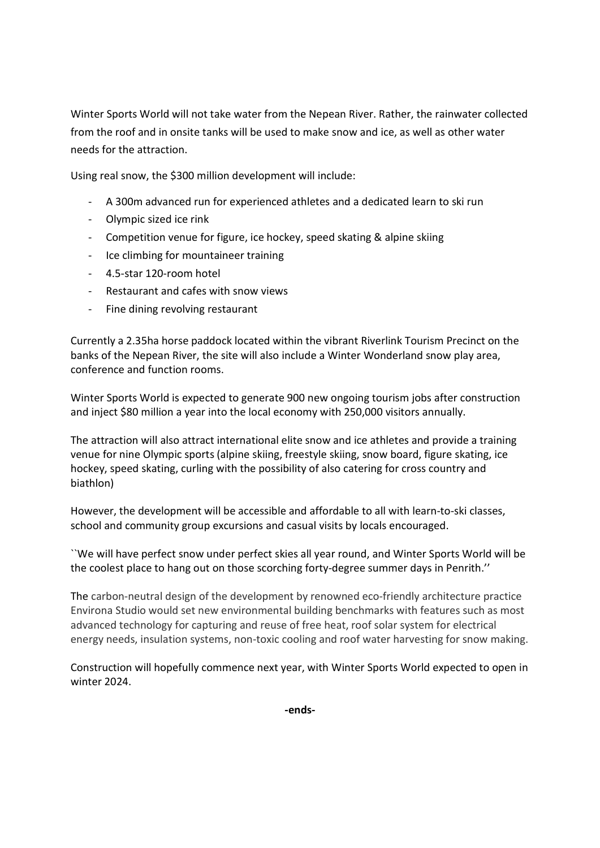Winter Sports World will not take water from the Nepean River. Rather, the rainwater collected from the roof and in onsite tanks will be used to make snow and ice, as well as other water needs for the attraction.

Using real snow, the \$300 million development will include:

- A 300m advanced run for experienced athletes and a dedicated learn to ski run
- Olympic sized ice rink
- Competition venue for figure, ice hockey, speed skating & alpine skiing
- Ice climbing for mountaineer training
- 4.5-star 120-room hotel
- Restaurant and cafes with snow views
- Fine dining revolving restaurant

Currently a 2.35ha horse paddock located within the vibrant Riverlink Tourism Precinct on the banks of the Nepean River, the site will also include a Winter Wonderland snow play area, conference and function rooms.

Winter Sports World is expected to generate 900 new ongoing tourism jobs after construction and inject \$80 million a year into the local economy with 250,000 visitors annually.

The attraction will also attract international elite snow and ice athletes and provide a training venue for nine Olympic sports (alpine skiing, freestyle skiing, snow board, figure skating, ice hockey, speed skating, curling with the possibility of also catering for cross country and biathlon)

However, the development will be accessible and affordable to all with learn-to-ski classes, school and community group excursions and casual visits by locals encouraged.

``We will have perfect snow under perfect skies all year round, and Winter Sports World will be the coolest place to hang out on those scorching forty-degree summer days in Penrith.''

The carbon-neutral design of the development by renowned eco-friendly architecture practice Environa Studio would set new environmental building benchmarks with features such as most advanced technology for capturing and reuse of free heat, roof solar system for electrical energy needs, insulation systems, non-toxic cooling and roof water harvesting for snow making.

Construction will hopefully commence next year, with Winter Sports World expected to open in winter 2024.

-ends-